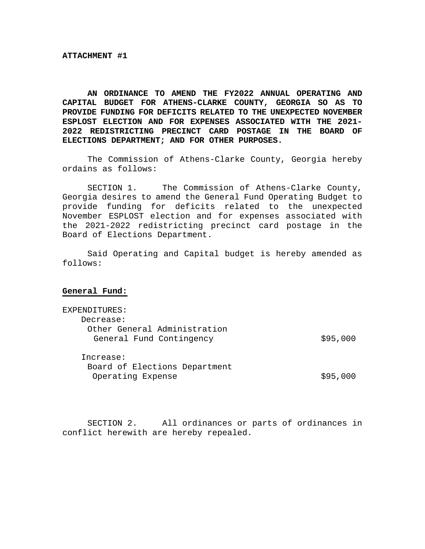**AN ORDINANCE TO AMEND THE FY2022 ANNUAL OPERATING AND CAPITAL BUDGET FOR ATHENS-CLARKE COUNTY, GEORGIA SO AS TO PROVIDE FUNDING FOR DEFICITS RELATED TO THE UNEXPECTED NOVEMBER ESPLOST ELECTION AND FOR EXPENSES ASSOCIATED WITH THE 2021- 2022 REDISTRICTING PRECINCT CARD POSTAGE IN THE BOARD OF ELECTIONS DEPARTMENT; AND FOR OTHER PURPOSES.** 

 The Commission of Athens-Clarke County, Georgia hereby ordains as follows:

 SECTION 1. The Commission of Athens-Clarke County, Georgia desires to amend the General Fund Operating Budget to provide funding for deficits related to the unexpected November ESPLOST election and for expenses associated with the 2021-2022 redistricting precinct card postage in the Board of Elections Department.

Said Operating and Capital budget is hereby amended as follows:

#### **General Fund:**

| EXPENDITURES:                 |          |
|-------------------------------|----------|
| Decrease:                     |          |
| Other General Administration  |          |
| General Fund Contingency      | \$95,000 |
|                               |          |
| Increase:                     |          |
| Board of Elections Department |          |
| Operating Expense             | \$95,000 |
|                               |          |

SECTION 2. All ordinances or parts of ordinances in conflict herewith are hereby repealed.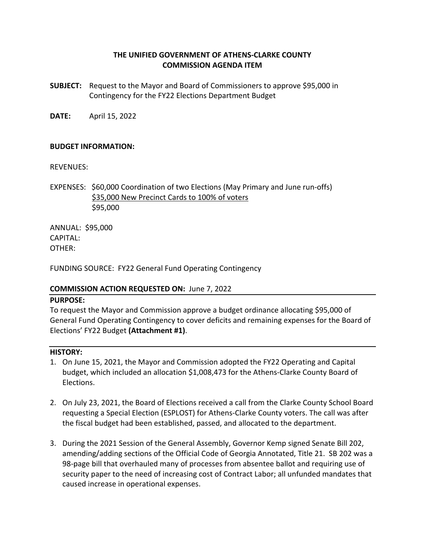# **THE UNIFIED GOVERNMENT OF ATHENS‐CLARKE COUNTY COMMISSION AGENDA ITEM**

- **SUBJECT:**  Request to the Mayor and Board of Commissioners to approve \$95,000 in Contingency for the FY22 Elections Department Budget
- **DATE:**  April 15, 2022

### **BUDGET INFORMATION:**

REVENUES:

EXPENSES: \$60,000 Coordination of two Elections (May Primary and June run‐offs) \$35,000 New Precinct Cards to 100% of voters \$95,000

ANNUAL: \$95,000 CAPITAL: OTHER:

FUNDING SOURCE: FY22 General Fund Operating Contingency

### **COMMISSION ACTION REQUESTED ON:** June 7, 2022

#### **PURPOSE:**

To request the Mayor and Commission approve a budget ordinance allocating \$95,000 of General Fund Operating Contingency to cover deficits and remaining expenses for the Board of Elections' FY22 Budget **(Attachment #1)**.

### **HISTORY:**

- 1. On June 15, 2021, the Mayor and Commission adopted the FY22 Operating and Capital budget, which included an allocation \$1,008,473 for the Athens‐Clarke County Board of Elections.
- 2. On July 23, 2021, the Board of Elections received a call from the Clarke County School Board requesting a Special Election (ESPLOST) for Athens‐Clarke County voters. The call was after the fiscal budget had been established, passed, and allocated to the department.
- 3. During the 2021 Session of the General Assembly, Governor Kemp signed Senate Bill 202, amending/adding sections of the Official Code of Georgia Annotated, Title 21. SB 202 was a 98‐page bill that overhauled many of processes from absentee ballot and requiring use of security paper to the need of increasing cost of Contract Labor; all unfunded mandates that caused increase in operational expenses.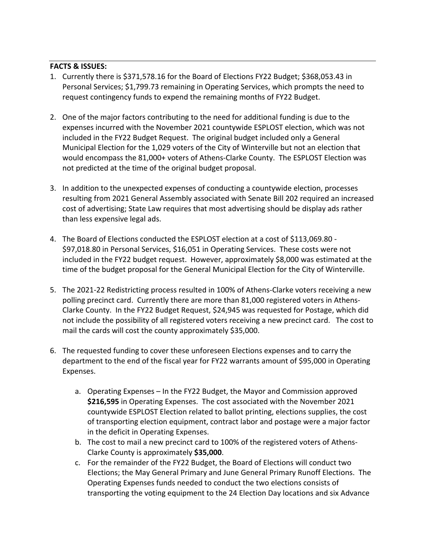# **FACTS & ISSUES:**

- 1. Currently there is \$371,578.16 for the Board of Elections FY22 Budget; \$368,053.43 in Personal Services; \$1,799.73 remaining in Operating Services, which prompts the need to request contingency funds to expend the remaining months of FY22 Budget.
- 2. One of the major factors contributing to the need for additional funding is due to the expenses incurred with the November 2021 countywide ESPLOST election, which was not included in the FY22 Budget Request. The original budget included only a General Municipal Election for the 1,029 voters of the City of Winterville but not an election that would encompass the 81,000+ voters of Athens‐Clarke County. The ESPLOST Election was not predicted at the time of the original budget proposal.
- 3. In addition to the unexpected expenses of conducting a countywide election, processes resulting from 2021 General Assembly associated with Senate Bill 202 required an increased cost of advertising; State Law requires that most advertising should be display ads rather than less expensive legal ads.
- 4. The Board of Elections conducted the ESPLOST election at a cost of \$113,069.80 ‐ \$97,018.80 in Personal Services, \$16,051 in Operating Services. These costs were not included in the FY22 budget request. However, approximately \$8,000 was estimated at the time of the budget proposal for the General Municipal Election for the City of Winterville.
- 5. The 2021-22 Redistricting process resulted in 100% of Athens-Clarke voters receiving a new polling precinct card. Currently there are more than 81,000 registered voters in Athens-Clarke County. In the FY22 Budget Request, \$24,945 was requested for Postage, which did not include the possibility of all registered voters receiving a new precinct card. The cost to mail the cards will cost the county approximately \$35,000.
- 6. The requested funding to cover these unforeseen Elections expenses and to carry the department to the end of the fiscal year for FY22 warrants amount of \$95,000 in Operating Expenses.
	- a. Operating Expenses In the FY22 Budget, the Mayor and Commission approved **\$216,595** in Operating Expenses. The cost associated with the November 2021 countywide ESPLOST Election related to ballot printing, elections supplies, the cost of transporting election equipment, contract labor and postage were a major factor in the deficit in Operating Expenses.
	- b. The cost to mail a new precinct card to 100% of the registered voters of Athens-Clarke County is approximately **\$35,000**.
	- c. For the remainder of the FY22 Budget, the Board of Elections will conduct two Elections; the May General Primary and June General Primary Runoff Elections. The Operating Expenses funds needed to conduct the two elections consists of transporting the voting equipment to the 24 Election Day locations and six Advance